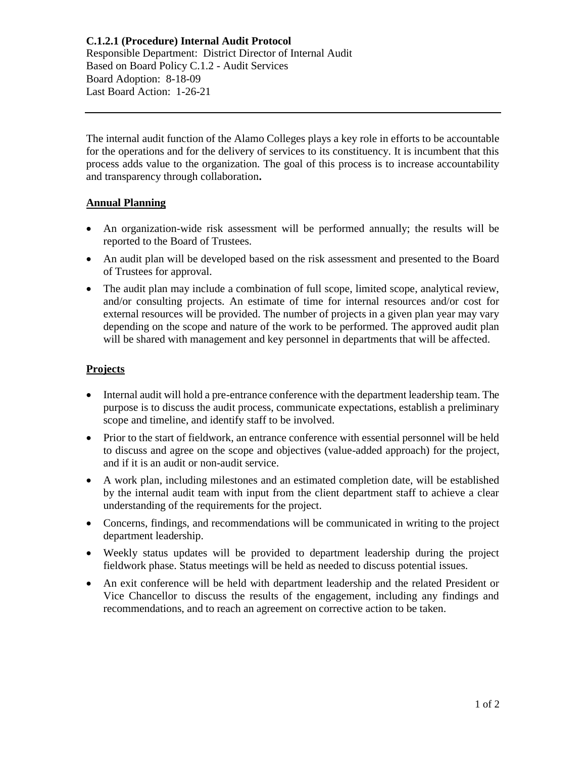**C.1.2.1 (Procedure) Internal Audit Protocol** Responsible Department: District Director of Internal Audit Based on Board Policy C.1.2 - Audit Services Board Adoption: 8-18-09 Last Board Action: 1-26-21

The internal audit function of the Alamo Colleges plays a key role in efforts to be accountable for the operations and for the delivery of services to its constituency. It is incumbent that this process adds value to the organization. The goal of this process is to increase accountability and transparency through collaboration**.**

## **Annual Planning**

- An organization-wide risk assessment will be performed annually; the results will be reported to the Board of Trustees.
- An audit plan will be developed based on the risk assessment and presented to the Board of Trustees for approval.
- The audit plan may include a combination of full scope, limited scope, analytical review, and/or consulting projects. An estimate of time for internal resources and/or cost for external resources will be provided. The number of projects in a given plan year may vary depending on the scope and nature of the work to be performed. The approved audit plan will be shared with management and key personnel in departments that will be affected.

## **Projects**

- Internal audit will hold a pre-entrance conference with the department leadership team. The purpose is to discuss the audit process, communicate expectations, establish a preliminary scope and timeline, and identify staff to be involved.
- Prior to the start of fieldwork, an entrance conference with essential personnel will be held to discuss and agree on the scope and objectives (value-added approach) for the project, and if it is an audit or non-audit service.
- A work plan, including milestones and an estimated completion date, will be established by the internal audit team with input from the client department staff to achieve a clear understanding of the requirements for the project.
- Concerns, findings, and recommendations will be communicated in writing to the project department leadership.
- Weekly status updates will be provided to department leadership during the project fieldwork phase. Status meetings will be held as needed to discuss potential issues.
- An exit conference will be held with department leadership and the related President or Vice Chancellor to discuss the results of the engagement, including any findings and recommendations, and to reach an agreement on corrective action to be taken.